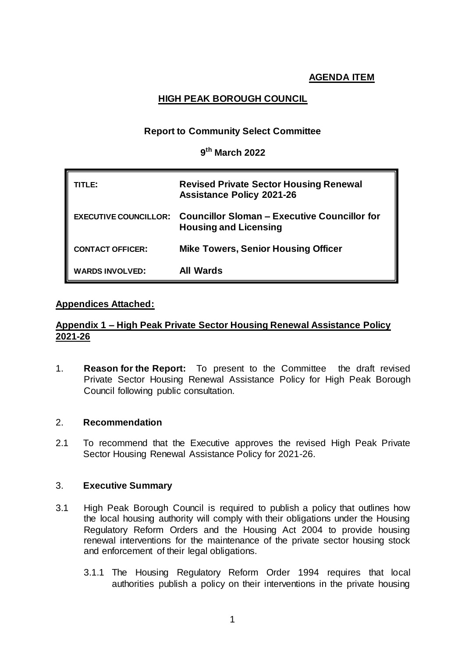# **HIGH PEAK BOROUGH COUNCIL**

## **Report to Community Select Committee**

## **9 th March 2022**

| TITL F:                 | <b>Revised Private Sector Housing Renewal</b><br><b>Assistance Policy 2021-26</b>                         |  |
|-------------------------|-----------------------------------------------------------------------------------------------------------|--|
|                         | <b>EXECUTIVE COUNCILLOR: Councillor Sloman - Executive Councillor for</b><br><b>Housing and Licensing</b> |  |
| <b>CONTACT OFFICER:</b> | <b>Mike Towers, Senior Housing Officer</b>                                                                |  |
| <b>WARDS INVOLVED:</b>  | All Wards                                                                                                 |  |

## **Appendices Attached:**

## **Appendix 1 – High Peak Private Sector Housing Renewal Assistance Policy 2021-26**

1. **Reason for the Report:** To present to the Committee the draft revised Private Sector Housing Renewal Assistance Policy for High Peak Borough Council following public consultation.

## 2. **Recommendation**

2.1 To recommend that the Executive approves the revised High Peak Private Sector Housing Renewal Assistance Policy for 2021-26.

## 3. **Executive Summary**

- 3.1 High Peak Borough Council is required to publish a policy that outlines how the local housing authority will comply with their obligations under the Housing Regulatory Reform Orders and the Housing Act 2004 to provide housing renewal interventions for the maintenance of the private sector housing stock and enforcement of their legal obligations.
	- 3.1.1 The Housing Regulatory Reform Order 1994 requires that local authorities publish a policy on their interventions in the private housing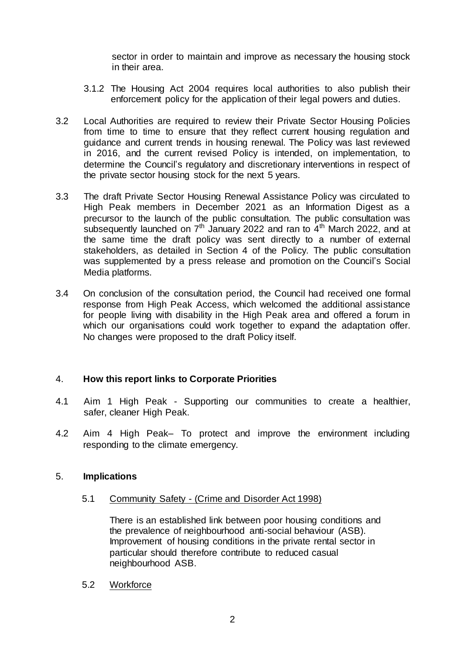sector in order to maintain and improve as necessary the housing stock in their area.

- 3.1.2 The Housing Act 2004 requires local authorities to also publish their enforcement policy for the application of their legal powers and duties.
- 3.2 Local Authorities are required to review their Private Sector Housing Policies from time to time to ensure that they reflect current housing regulation and guidance and current trends in housing renewal. The Policy was last reviewed in 2016, and the current revised Policy is intended, on implementation, to determine the Council's regulatory and discretionary interventions in respect of the private sector housing stock for the next 5 years.
- 3.3 The draft Private Sector Housing Renewal Assistance Policy was circulated to High Peak members in December 2021 as an Information Digest as a precursor to the launch of the public consultation. The public consultation was subsequently launched on  $7<sup>th</sup>$  January 2022 and ran to  $4<sup>th</sup>$  March 2022, and at the same time the draft policy was sent directly to a number of external stakeholders, as detailed in Section 4 of the Policy. The public consultation was supplemented by a press release and promotion on the Council's Social Media platforms.
- 3.4 On conclusion of the consultation period, the Council had received one formal response from High Peak Access, which welcomed the additional assistance for people living with disability in the High Peak area and offered a forum in which our organisations could work together to expand the adaptation offer. No changes were proposed to the draft Policy itself.

## 4. **How this report links to Corporate Priorities**

- 4.1 Aim 1 High Peak Supporting our communities to create a healthier, safer, cleaner High Peak.
- 4.2 Aim 4 High Peak– To protect and improve the environment including responding to the climate emergency.

## 5. **Implications**

5.1 Community Safety - (Crime and Disorder Act 1998)

There is an established link between poor housing conditions and the prevalence of neighbourhood anti-social behaviour (ASB). Improvement of housing conditions in the private rental sector in particular should therefore contribute to reduced casual neighbourhood ASB.

5.2 Workforce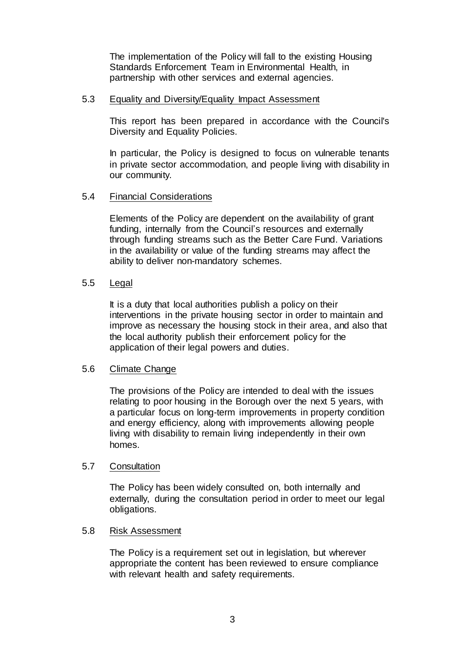The implementation of the Policy will fall to the existing Housing Standards Enforcement Team in Environmental Health, in partnership with other services and external agencies.

#### 5.3 Equality and Diversity/Equality Impact Assessment

This report has been prepared in accordance with the Council's Diversity and Equality Policies.

In particular, the Policy is designed to focus on vulnerable tenants in private sector accommodation, and people living with disability in our community.

#### 5.4 Financial Considerations

Elements of the Policy are dependent on the availability of grant funding, internally from the Council's resources and externally through funding streams such as the Better Care Fund. Variations in the availability or value of the funding streams may affect the ability to deliver non-mandatory schemes.

#### 5.5 Legal

It is a duty that local authorities publish a policy on their interventions in the private housing sector in order to maintain and improve as necessary the housing stock in their area, and also that the local authority publish their enforcement policy for the application of their legal powers and duties.

## 5.6 Climate Change

The provisions of the Policy are intended to deal with the issues relating to poor housing in the Borough over the next 5 years, with a particular focus on long-term improvements in property condition and energy efficiency, along with improvements allowing people living with disability to remain living independently in their own homes.

## 5.7 Consultation

The Policy has been widely consulted on, both internally and externally, during the consultation period in order to meet our legal obligations.

#### 5.8 Risk Assessment

The Policy is a requirement set out in legislation, but wherever appropriate the content has been reviewed to ensure compliance with relevant health and safety requirements.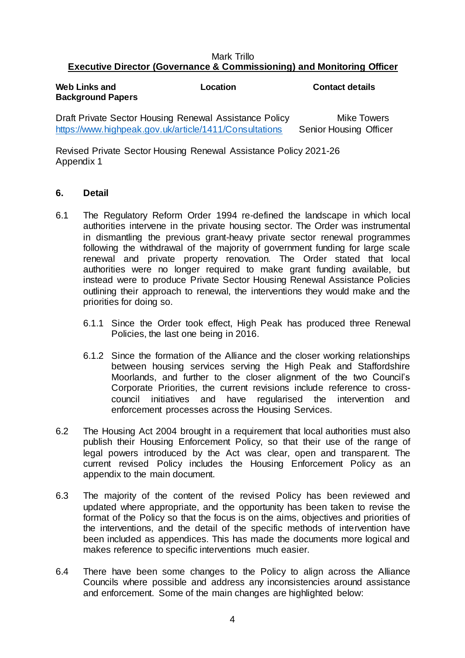### Mark Trillo **Executive Director (Governance & Commissioning) and Monitoring Officer**

| Web Links and<br><b>Background Papers</b>              | Location | <b>Contact details</b> |
|--------------------------------------------------------|----------|------------------------|
| Draft Private Sector Housing Renewal Assistance Policy |          | <b>Mike Towers</b>     |

<https://www.highpeak.gov.uk/article/1411/Consultations>Senior Housing Officer

Revised Private Sector Housing Renewal Assistance Policy 2021-26 Appendix 1

## **6. Detail**

- 6.1 The Regulatory Reform Order 1994 re-defined the landscape in which local authorities intervene in the private housing sector. The Order was instrumental in dismantling the previous grant-heavy private sector renewal programmes following the withdrawal of the majority of government funding for large scale renewal and private property renovation. The Order stated that local authorities were no longer required to make grant funding available, but instead were to produce Private Sector Housing Renewal Assistance Policies outlining their approach to renewal, the interventions they would make and the priorities for doing so.
	- 6.1.1 Since the Order took effect, High Peak has produced three Renewal Policies, the last one being in 2016.
	- 6.1.2 Since the formation of the Alliance and the closer working relationships between housing services serving the High Peak and Staffordshire Moorlands, and further to the closer alignment of the two Council's Corporate Priorities, the current revisions include reference to crosscouncil initiatives and have regularised the intervention and enforcement processes across the Housing Services.
- 6.2 The Housing Act 2004 brought in a requirement that local authorities must also publish their Housing Enforcement Policy, so that their use of the range of legal powers introduced by the Act was clear, open and transparent. The current revised Policy includes the Housing Enforcement Policy as an appendix to the main document.
- 6.3 The majority of the content of the revised Policy has been reviewed and updated where appropriate, and the opportunity has been taken to revise the format of the Policy so that the focus is on the aims, objectives and priorities of the interventions, and the detail of the specific methods of intervention have been included as appendices. This has made the documents more logical and makes reference to specific interventions much easier.
- 6.4 There have been some changes to the Policy to align across the Alliance Councils where possible and address any inconsistencies around assistance and enforcement. Some of the main changes are highlighted below: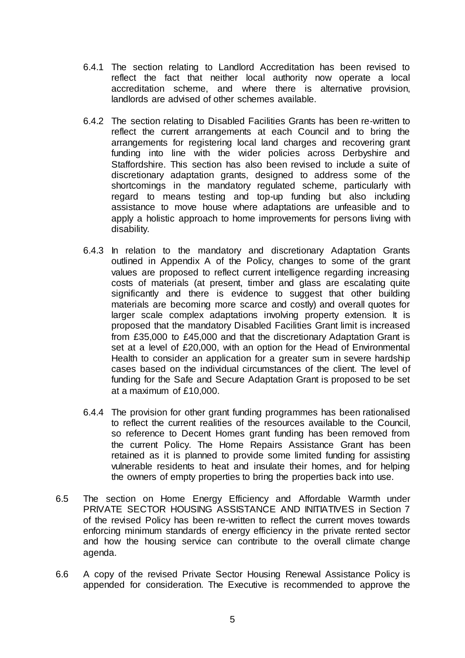- 6.4.1 The section relating to Landlord Accreditation has been revised to reflect the fact that neither local authority now operate a local accreditation scheme, and where there is alternative provision, landlords are advised of other schemes available.
- 6.4.2 The section relating to Disabled Facilities Grants has been re-written to reflect the current arrangements at each Council and to bring the arrangements for registering local land charges and recovering grant funding into line with the wider policies across Derbyshire and Staffordshire. This section has also been revised to include a suite of discretionary adaptation grants, designed to address some of the shortcomings in the mandatory regulated scheme, particularly with regard to means testing and top-up funding but also including assistance to move house where adaptations are unfeasible and to apply a holistic approach to home improvements for persons living with disability.
- 6.4.3 In relation to the mandatory and discretionary Adaptation Grants outlined in Appendix A of the Policy, changes to some of the grant values are proposed to reflect current intelligence regarding increasing costs of materials (at present, timber and glass are escalating quite significantly and there is evidence to suggest that other building materials are becoming more scarce and costly) and overall quotes for larger scale complex adaptations involving property extension. It is proposed that the mandatory Disabled Facilities Grant limit is increased from £35,000 to £45,000 and that the discretionary Adaptation Grant is set at a level of £20,000, with an option for the Head of Environmental Health to consider an application for a greater sum in severe hardship cases based on the individual circumstances of the client. The level of funding for the Safe and Secure Adaptation Grant is proposed to be set at a maximum of £10,000.
- 6.4.4 The provision for other grant funding programmes has been rationalised to reflect the current realities of the resources available to the Council, so reference to Decent Homes grant funding has been removed from the current Policy. The Home Repairs Assistance Grant has been retained as it is planned to provide some limited funding for assisting vulnerable residents to heat and insulate their homes, and for helping the owners of empty properties to bring the properties back into use.
- 6.5 The section on Home Energy Efficiency and Affordable Warmth under PRIVATE SECTOR HOUSING ASSISTANCE AND INITIATIVES in Section 7 of the revised Policy has been re-written to reflect the current moves towards enforcing minimum standards of energy efficiency in the private rented sector and how the housing service can contribute to the overall climate change agenda.
- 6.6 A copy of the revised Private Sector Housing Renewal Assistance Policy is appended for consideration. The Executive is recommended to approve the